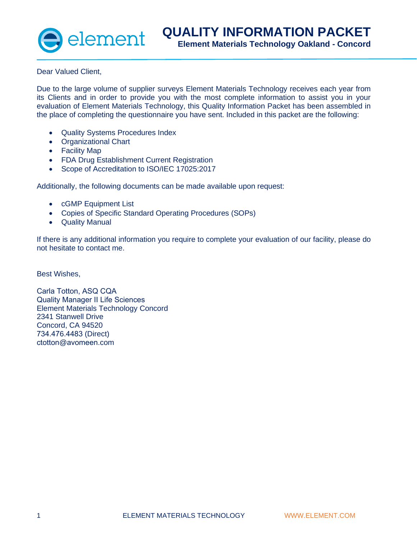

Dear Valued Client,

Due to the large volume of supplier surveys Element Materials Technology receives each year from its Clients and in order to provide you with the most complete information to assist you in your evaluation of Element Materials Technology, this Quality Information Packet has been assembled in the place of completing the questionnaire you have sent. Included in this packet are the following:

- Quality Systems Procedures Index
- Organizational Chart
- Facility Map
- FDA Drug Establishment Current Registration
- Scope of Accreditation to ISO/IEC 17025:2017

Additionally, the following documents can be made available upon request:

- cGMP Equipment List
- Copies of Specific Standard Operating Procedures (SOPs)
- Quality Manual

If there is any additional information you require to complete your evaluation of our facility, please do not hesitate to contact me.

Best Wishes,

Carla Totton, ASQ CQA Quality Manager II Life Sciences Element Materials Technology Concord 2341 Stanwell Drive Concord, CA 94520 734.476.4483 (Direct) ctotton@avomeen.com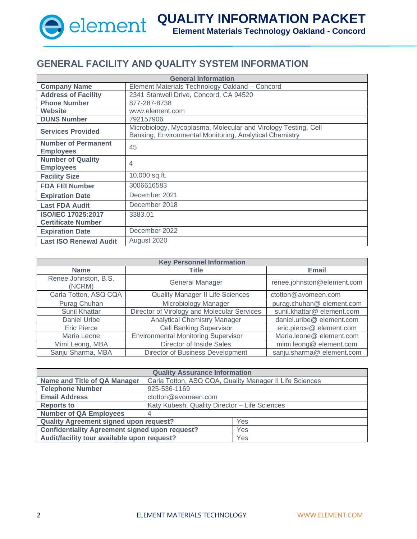

### **GENERAL FACILITY AND QUALITY SYSTEM INFORMATION**

| <b>General Information</b>                     |                                                                                                                           |  |
|------------------------------------------------|---------------------------------------------------------------------------------------------------------------------------|--|
| <b>Company Name</b>                            | Element Materials Technology Oakland - Concord                                                                            |  |
| <b>Address of Facility</b>                     | 2341 Stanwell Drive, Concord, CA 94520                                                                                    |  |
| <b>Phone Number</b>                            | 877-287-8738                                                                                                              |  |
| <b>Website</b>                                 | www.element.com                                                                                                           |  |
| <b>DUNS Number</b>                             | 792157906                                                                                                                 |  |
| <b>Services Provided</b>                       | Microbiology, Mycoplasma, Molecular and Virology Testing, Cell<br>Banking, Environmental Monitoring, Analytical Chemistry |  |
| <b>Number of Permanent</b><br><b>Employees</b> | 45                                                                                                                        |  |
| <b>Number of Quality</b><br><b>Employees</b>   | 4                                                                                                                         |  |
| <b>Facility Size</b>                           | 10,000 sq.ft.                                                                                                             |  |
| <b>FDA FEI Number</b>                          | 3006616583                                                                                                                |  |
| <b>Expiration Date</b>                         | December 2021                                                                                                             |  |
| <b>Last FDA Audit</b>                          | December 2018                                                                                                             |  |
| <b>ISO/IEC 17025:2017</b>                      | 3383.01                                                                                                                   |  |
| <b>Certificate Number</b>                      |                                                                                                                           |  |
| <b>Expiration Date</b>                         | December 2022                                                                                                             |  |
| <b>Last ISO Renewal Audit</b>                  | August 2020                                                                                                               |  |

| <b>Key Personnel Information</b> |                                             |                            |
|----------------------------------|---------------------------------------------|----------------------------|
| <b>Name</b>                      | <b>Title</b><br><b>Email</b>                |                            |
| Renee Johnston, B.S.<br>(NCRM)   | <b>General Manager</b>                      | renee.johnston@element.com |
| Carla Totton, ASQ CQA            | <b>Quality Manager II Life Sciences</b>     | ctotton@avomeen.com        |
| Purag Chuhan                     | Microbiology Manager                        | purag.chuhan@element.com   |
| Sunil Khattar                    | Director of Virology and Molecular Services | sunil.khattar@element.com  |
| <b>Daniel Uribe</b>              | <b>Analytical Chemistry Manager</b>         | daniel.uribe@element.com   |
| <b>Eric Pierce</b>               | <b>Cell Banking Supervisor</b>              | eric.pierce@element.com    |
| Maria Leone                      | <b>Environmental Monitoring Supervisor</b>  | Maria.leone@element.com    |
| Mimi Leong, MBA                  | Director of Inside Sales                    | mimi.leong@element.com     |
| Sanju Sharma, MBA                | <b>Director of Business Development</b>     | sanju.sharma@element.com   |

| <b>Quality Assurance Information</b>                  |                                               |                                                         |
|-------------------------------------------------------|-----------------------------------------------|---------------------------------------------------------|
| <b>Name and Title of QA Manager</b>                   |                                               | Carla Totton, ASQ CQA, Quality Manager II Life Sciences |
| <b>Telephone Number</b>                               | 925-536-1169                                  |                                                         |
| <b>Email Address</b>                                  | ctotton@avomeen.com                           |                                                         |
| <b>Reports to</b>                                     | Katy Kubesh, Quality Director - Life Sciences |                                                         |
| <b>Number of QA Employees</b>                         |                                               |                                                         |
| <b>Quality Agreement signed upon request?</b>         |                                               | Yes                                                     |
| <b>Confidentiality Agreement signed upon request?</b> |                                               | Yes                                                     |
| Audit/facility tour available upon request?           |                                               | Yes                                                     |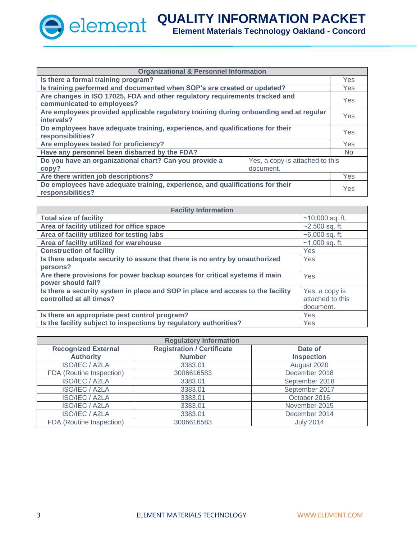

| <b>Organizational &amp; Personnel Information</b>                                                         |                                 |  |
|-----------------------------------------------------------------------------------------------------------|---------------------------------|--|
| Is there a formal training program?                                                                       |                                 |  |
| Is training performed and documented when SOP's are created or updated?                                   | Yes                             |  |
| Are changes in ISO 17025, FDA and other regulatory requirements tracked and<br>communicated to employees? |                                 |  |
| Are employees provided applicable regulatory training during onboarding and at regular<br>intervals?      |                                 |  |
| Do employees have adequate training, experience, and qualifications for their<br>responsibilities?        |                                 |  |
| Are employees tested for proficiency?                                                                     |                                 |  |
| Have any personnel been disbarred by the FDA?                                                             |                                 |  |
| Do you have an organizational chart? Can you provide a<br>document.<br>copy?                              | Yes, a copy is attached to this |  |
| Are there written job descriptions?                                                                       |                                 |  |
| Do employees have adequate training, experience, and qualifications for their<br>responsibilities?        |                                 |  |

| <b>Facility Information</b>                                                     |                      |  |
|---------------------------------------------------------------------------------|----------------------|--|
| <b>Total size of facility</b>                                                   | $~10,000$ sq. ft.    |  |
| Area of facility utilized for office space                                      | $\sim$ 2,500 sq. ft. |  |
| Area of facility utilized for testing labs                                      | $~6,000$ sq. ft.     |  |
| Area of facility utilized for warehouse                                         | $~1,000$ sq. ft.     |  |
| <b>Construction of facility</b>                                                 | Yes                  |  |
| Is there adequate security to assure that there is no entry by unauthorized     | <b>Yes</b>           |  |
| persons?                                                                        |                      |  |
| Are there provisions for power backup sources for critical systems if main      | <b>Yes</b>           |  |
| power should fail?                                                              |                      |  |
| Is there a security system in place and SOP in place and access to the facility | Yes, a copy is       |  |
| controlled at all times?                                                        | attached to this     |  |
|                                                                                 | document.            |  |
| Is there an appropriate pest control program?                                   | Yes                  |  |
| Is the facility subject to inspections by regulatory authorities?               | Yes                  |  |

| <b>Regulatory Information</b>                  |                                                    |                              |
|------------------------------------------------|----------------------------------------------------|------------------------------|
| <b>Recognized External</b><br><b>Authority</b> | <b>Registration / Certificate</b><br><b>Number</b> | Date of<br><b>Inspection</b> |
| <b>ISO/IEC / A2LA</b>                          | 3383.01                                            | August 2020                  |
| FDA (Routine Inspection)                       | 3006616583                                         | December 2018                |
| <b>ISO/IEC / A2LA</b>                          | 3383.01                                            | September 2018               |
| <b>ISO/IEC / A2LA</b>                          | 3383.01                                            | September 2017               |
| <b>ISO/IEC / A2LA</b>                          | 3383.01                                            | October 2016                 |
| <b>ISO/IEC / A2LA</b>                          | 3383.01                                            | November 2015                |
| <b>ISO/IEC / A2LA</b>                          | 3383.01                                            | December 2014                |
| FDA (Routine Inspection)                       | 3006616583                                         | <b>July 2014</b>             |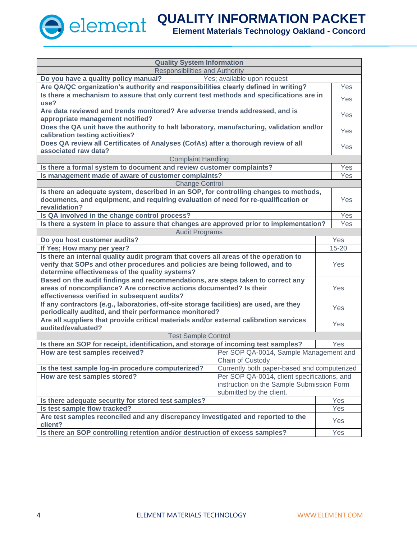

| <b>Quality System Information</b>                                                                                                                                                                                        |                                                            |           |
|--------------------------------------------------------------------------------------------------------------------------------------------------------------------------------------------------------------------------|------------------------------------------------------------|-----------|
| <b>Responsibilities and Authority</b>                                                                                                                                                                                    |                                                            |           |
| Do you have a quality policy manual?<br>Yes; available upon request                                                                                                                                                      |                                                            |           |
| Are QA/QC organization's authority and responsibilities clearly defined in writing?                                                                                                                                      |                                                            | Yes       |
| Is there a mechanism to assure that only current test methods and specifications are in<br>use?                                                                                                                          |                                                            | Yes       |
| Are data reviewed and trends monitored? Are adverse trends addressed, and is<br>appropriate management notified?                                                                                                         |                                                            | Yes       |
| Does the QA unit have the authority to halt laboratory, manufacturing, validation and/or<br>calibration testing activities?                                                                                              |                                                            | Yes       |
| Does QA review all Certificates of Analyses (CofAs) after a thorough review of all<br>associated raw data?                                                                                                               |                                                            | Yes       |
| <b>Complaint Handling</b>                                                                                                                                                                                                |                                                            |           |
| Is there a formal system to document and review customer complaints?                                                                                                                                                     |                                                            | Yes       |
| Is management made of aware of customer complaints?                                                                                                                                                                      |                                                            | Yes       |
| <b>Change Control</b>                                                                                                                                                                                                    |                                                            |           |
| Is there an adequate system, described in an SOP, for controlling changes to methods,<br>documents, and equipment, and requiring evaluation of need for re-qualification or<br>revalidation?                             |                                                            | Yes       |
| Is QA involved in the change control process?                                                                                                                                                                            |                                                            | Yes       |
| Is there a system in place to assure that changes are approved prior to implementation?                                                                                                                                  |                                                            | Yes       |
| <b>Audit Programs</b>                                                                                                                                                                                                    |                                                            |           |
| Do you host customer audits?                                                                                                                                                                                             |                                                            | Yes       |
| If Yes; How many per year?                                                                                                                                                                                               |                                                            | $15 - 20$ |
| Is there an internal quality audit program that covers all areas of the operation to<br>verify that SOPs and other procedures and policies are being followed, and to<br>determine effectiveness of the quality systems? |                                                            | Yes       |
| Based on the audit findings and recommendations, are steps taken to correct any<br>areas of noncompliance? Are corrective actions documented? Is their<br>effectiveness verified in subsequent audits?                   |                                                            | Yes       |
| If any contractors (e.g., laboratories, off-site storage facilities) are used, are they<br>periodically audited, and their performance monitored?                                                                        |                                                            | Yes       |
| Are all suppliers that provide critical materials and/or external calibration services<br>audited/evaluated?                                                                                                             |                                                            | Yes       |
| <b>Test Sample Control</b>                                                                                                                                                                                               |                                                            |           |
| Is there an SOP for receipt, identification, and storage of incoming test samples?                                                                                                                                       |                                                            | Yes       |
| How are test samples received?                                                                                                                                                                                           | Per SOP QA-0014, Sample Management and<br>Chain of Custody |           |
| Is the test sample log-in procedure computerized?<br>Currently both paper-based and computerized                                                                                                                         |                                                            |           |
| How are test samples stored?<br>Per SOP QA-0014, client specifications, and<br>instruction on the Sample Submission Form<br>submitted by the client.                                                                     |                                                            |           |
| Is there adequate security for stored test samples?                                                                                                                                                                      |                                                            | Yes       |
| Is test sample flow tracked?                                                                                                                                                                                             |                                                            | Yes       |
| Are test samples reconciled and any discrepancy investigated and reported to the<br>client?                                                                                                                              |                                                            | Yes       |
| Is there an SOP controlling retention and/or destruction of excess samples?                                                                                                                                              |                                                            | Yes       |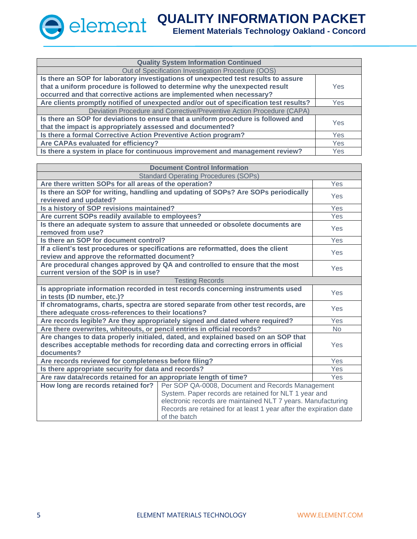

| <b>Quality System Information Continued</b>                                           |            |
|---------------------------------------------------------------------------------------|------------|
| Out of Specification Investigation Procedure (OOS)                                    |            |
| Is there an SOP for laboratory investigations of unexpected test results to assure    |            |
| that a uniform procedure is followed to determine why the unexpected result           | Yes        |
| occurred and that corrective actions are implemented when necessary?                  |            |
| Are clients promptly notified of unexpected and/or out of specification test results? | Yes        |
| Deviation Procedure and Corrective/Preventive Action Procedure (CAPA)                 |            |
| Is there an SOP for deviations to ensure that a uniform procedure is followed and     | Yes        |
| that the impact is appropriately assessed and documented?                             |            |
| Is there a formal Corrective Action Preventive Action program?                        | <b>Yes</b> |
| Are CAPAs evaluated for efficiency?                                                   | <b>Yes</b> |
| Is there a system in place for continuous improvement and management review?          | Yes        |

| <b>Document Control Information</b>                                                |                                                                                   |           |  |
|------------------------------------------------------------------------------------|-----------------------------------------------------------------------------------|-----------|--|
| <b>Standard Operating Procedures (SOPs)</b>                                        |                                                                                   |           |  |
| Are there written SOPs for all areas of the operation?                             |                                                                                   | Yes       |  |
|                                                                                    | Is there an SOP for writing, handling and updating of SOPs? Are SOPs periodically | Yes       |  |
| reviewed and updated?                                                              |                                                                                   |           |  |
| Is a history of SOP revisions maintained?                                          |                                                                                   | Yes       |  |
| Are current SOPs readily available to employees?                                   |                                                                                   | Yes       |  |
|                                                                                    | Is there an adequate system to assure that unneeded or obsolete documents are     | Yes       |  |
| removed from use?                                                                  |                                                                                   |           |  |
| Is there an SOP for document control?                                              |                                                                                   | Yes       |  |
|                                                                                    | If a client's test procedures or specifications are reformatted, does the client  |           |  |
| review and approve the reformatted document?                                       |                                                                                   | Yes       |  |
|                                                                                    | Are procedural changes approved by QA and controlled to ensure that the most      |           |  |
| current version of the SOP is in use?                                              |                                                                                   | Yes       |  |
|                                                                                    | <b>Testing Records</b>                                                            |           |  |
|                                                                                    | Is appropriate information recorded in test records concerning instruments used   | Yes       |  |
| in tests (ID number, etc.)?                                                        |                                                                                   |           |  |
| If chromatograms, charts, spectra are stored separate from other test records, are |                                                                                   | Yes       |  |
| there adequate cross-references to their locations?                                |                                                                                   |           |  |
| Are records legible? Are they appropriately signed and dated where required?       |                                                                                   | Yes       |  |
| Are there overwrites, whiteouts, or pencil entries in official records?            |                                                                                   | <b>No</b> |  |
|                                                                                    | Are changes to data properly initialed, dated, and explained based on an SOP that |           |  |
|                                                                                    | describes acceptable methods for recording data and correcting errors in official | Yes       |  |
| documents?                                                                         |                                                                                   |           |  |
| Are records reviewed for completeness before filing?                               |                                                                                   | Yes       |  |
| Is there appropriate security for data and records?                                |                                                                                   | Yes       |  |
| Are raw data/records retained for an appropriate length of time?<br>Yes            |                                                                                   |           |  |
| How long are records retained for?                                                 | Per SOP QA-0008, Document and Records Management                                  |           |  |
| System. Paper records are retained for NLT 1 year and                              |                                                                                   |           |  |
|                                                                                    | electronic records are maintained NLT 7 years. Manufacturing                      |           |  |
| Records are retained for at least 1 year after the expiration date                 |                                                                                   |           |  |
|                                                                                    | of the batch                                                                      |           |  |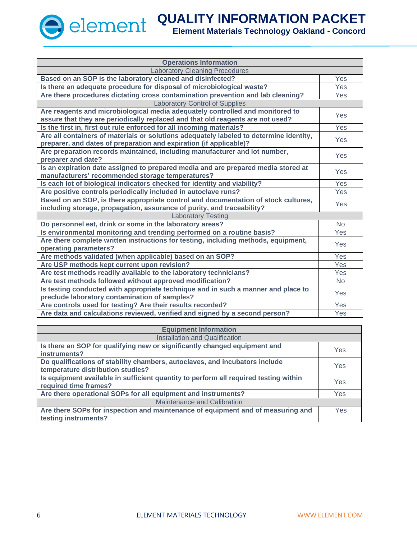

| <b>Operations Information</b>                                                          |           |  |
|----------------------------------------------------------------------------------------|-----------|--|
| <b>Laboratory Cleaning Procedures</b>                                                  |           |  |
| Based on an SOP is the laboratory cleaned and disinfected?                             | Yes       |  |
| Is there an adequate procedure for disposal of microbiological waste?                  | Yes       |  |
| Are there procedures dictating cross contamination prevention and lab cleaning?        | Yes       |  |
| <b>Laboratory Control of Supplies</b>                                                  |           |  |
| Are reagents and microbiological media adequately controlled and monitored to          | Yes       |  |
| assure that they are periodically replaced and that old reagents are not used?         |           |  |
| Is the first in, first out rule enforced for all incoming materials?                   | Yes       |  |
| Are all containers of materials or solutions adequately labeled to determine identity, | Yes       |  |
| preparer, and dates of preparation and expiration (if applicable)?                     |           |  |
| Are preparation records maintained, including manufacturer and lot number,             | Yes       |  |
| preparer and date?                                                                     |           |  |
| Is an expiration date assigned to prepared media and are prepared media stored at      | Yes       |  |
| manufacturers' recommended storage temperatures?                                       |           |  |
| Is each lot of biological indicators checked for identity and viability?               | Yes       |  |
| Are positive controls periodically included in autoclave runs?                         | Yes       |  |
| Based on an SOP, is there appropriate control and documentation of stock cultures,     | Yes       |  |
| including storage, propagation, assurance of purity, and traceability?                 |           |  |
| <b>Laboratory Testing</b>                                                              |           |  |
| Do personnel eat, drink or some in the laboratory areas?                               | <b>No</b> |  |
| Is environmental monitoring and trending performed on a routine basis?                 | Yes       |  |
| Are there complete written instructions for testing, including methods, equipment,     | Yes       |  |
| operating parameters?                                                                  |           |  |
| Are methods validated (when applicable) based on an SOP?                               | Yes       |  |
| Are USP methods kept current upon revision?                                            | Yes       |  |
| Are test methods readily available to the laboratory technicians?                      | Yes       |  |
| Are test methods followed without approved modification?                               | <b>No</b> |  |
| Is testing conducted with appropriate technique and in such a manner and place to      | Yes       |  |
| preclude laboratory contamination of samples?                                          |           |  |
| Are controls used for testing? Are their results recorded?                             | Yes       |  |
| Are data and calculations reviewed, verified and signed by a second person?            | Yes       |  |

| <b>Equipment Information</b>                                                         |     |
|--------------------------------------------------------------------------------------|-----|
| <b>Installation and Qualification</b>                                                |     |
| Is there an SOP for qualifying new or significantly changed equipment and            | Yes |
| instruments?                                                                         |     |
| Do qualifications of stability chambers, autoclaves, and incubators include          |     |
| temperature distribution studies?                                                    |     |
| Is equipment available in sufficient quantity to perform all required testing within |     |
| required time frames?                                                                | Yes |
| Are there operational SOPs for all equipment and instruments?                        |     |
| Maintenance and Calibration                                                          |     |
| Are there SOPs for inspection and maintenance of equipment and of measuring and      | Yes |
| testing instruments?                                                                 |     |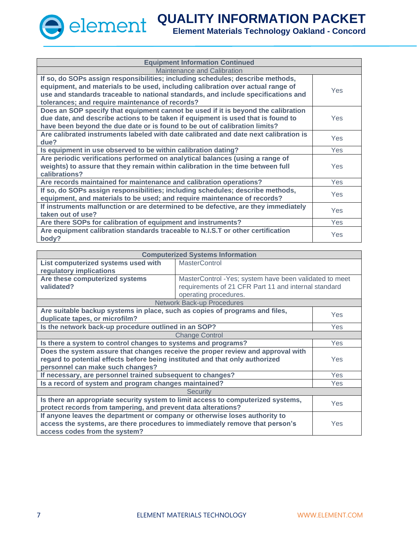

| <b>Equipment Information Continued</b>                                                                                                                                                                                                                                                                    |            |  |
|-----------------------------------------------------------------------------------------------------------------------------------------------------------------------------------------------------------------------------------------------------------------------------------------------------------|------------|--|
| Maintenance and Calibration                                                                                                                                                                                                                                                                               |            |  |
| If so, do SOPs assign responsibilities; including schedules; describe methods,<br>equipment, and materials to be used, including calibration over actual range of<br>use and standards traceable to national standards, and include specifications and<br>tolerances; and require maintenance of records? | Yes        |  |
| Does an SOP specify that equipment cannot be used if it is beyond the calibration<br>due date, and describe actions to be taken if equipment is used that is found to<br>have been beyond the due date or is found to be out of calibration limits?                                                       | Yes        |  |
| Are calibrated instruments labeled with date calibrated and date next calibration is<br>due?                                                                                                                                                                                                              | Yes        |  |
| Is equipment in use observed to be within calibration dating?                                                                                                                                                                                                                                             | Yes        |  |
| Are periodic verifications performed on analytical balances (using a range of<br>weights) to assure that they remain within calibration in the time between full<br>calibrations?                                                                                                                         | Yes        |  |
| Are records maintained for maintenance and calibration operations?                                                                                                                                                                                                                                        | Yes        |  |
| If so, do SOPs assign responsibilities; including schedules; describe methods,<br>equipment, and materials to be used; and require maintenance of records?                                                                                                                                                | <b>Yes</b> |  |
| If instruments malfunction or are determined to be defective, are they immediately<br>taken out of use?                                                                                                                                                                                                   | <b>Yes</b> |  |
| Are there SOPs for calibration of equipment and instruments?                                                                                                                                                                                                                                              | Yes        |  |
| Are equipment calibration standards traceable to N.I.S.T or other certification<br>body?                                                                                                                                                                                                                  | Yes        |  |

| <b>Computerized Systems Information</b>                                          |                                                        |            |  |
|----------------------------------------------------------------------------------|--------------------------------------------------------|------------|--|
| List computerized systems used with                                              | <b>MasterControl</b>                                   |            |  |
| regulatory implications                                                          |                                                        |            |  |
| Are these computerized systems                                                   | MasterControl -Yes; system have been validated to meet |            |  |
| validated?                                                                       | requirements of 21 CFR Part 11 and internal standard   |            |  |
|                                                                                  | operating procedures.                                  |            |  |
|                                                                                  | <b>Network Back-up Procedures</b>                      |            |  |
| Are suitable backup systems in place, such as copies of programs and files,      |                                                        | <b>Yes</b> |  |
| duplicate tapes, or microfilm?                                                   |                                                        |            |  |
| Is the network back-up procedure outlined in an SOP?                             |                                                        |            |  |
| <b>Change Control</b>                                                            |                                                        |            |  |
| Is there a system to control changes to systems and programs?                    |                                                        |            |  |
| Does the system assure that changes receive the proper review and approval with  |                                                        |            |  |
| regard to potential effects before being instituted and that only authorized     |                                                        |            |  |
| personnel can make such changes?                                                 |                                                        |            |  |
| If necessary, are personnel trained subsequent to changes?                       |                                                        |            |  |
| Is a record of system and program changes maintained?                            |                                                        |            |  |
| <b>Security</b>                                                                  |                                                        |            |  |
| Is there an appropriate security system to limit access to computerized systems, |                                                        |            |  |
| protect records from tampering, and prevent data alterations?                    |                                                        |            |  |
| If anyone leaves the department or company or otherwise loses authority to       |                                                        |            |  |
| access the systems, are there procedures to immediately remove that person's     |                                                        |            |  |
| access codes from the system?                                                    |                                                        |            |  |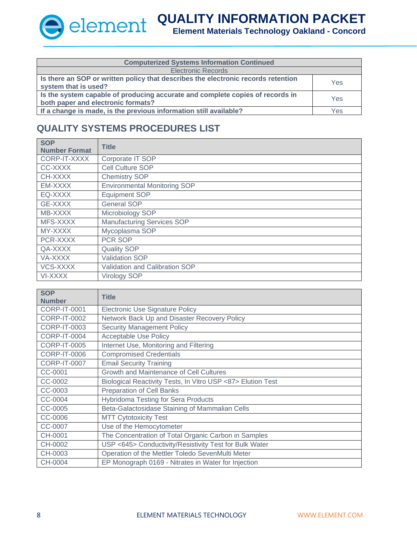

#### **Element Materials Technology Oakland - Concord**

| <b>Computerized Systems Information Continued</b>                                 |     |  |  |
|-----------------------------------------------------------------------------------|-----|--|--|
| <b>Electronic Records</b>                                                         |     |  |  |
| Is there an SOP or written policy that describes the electronic records retention | Yes |  |  |
| system that is used?                                                              |     |  |  |
| Is the system capable of producing accurate and complete copies of records in     |     |  |  |
| both paper and electronic formats?                                                | Yes |  |  |
| If a change is made, is the previous information still available?                 | Yes |  |  |

### **QUALITY SYSTEMS PROCEDURES LIST**

| <b>SOP</b><br><b>Number Format</b> | <b>Title</b>                        |
|------------------------------------|-------------------------------------|
| CORP-IT-XXXX                       | Corporate IT SOP                    |
| CC-XXXX                            | <b>Cell Culture SOP</b>             |
| CH-XXXX                            | <b>Chemistry SOP</b>                |
| EM-XXXX                            | <b>Environmental Monitoring SOP</b> |
| EQ-XXXX                            | <b>Equipment SOP</b>                |
| GE-XXXX                            | <b>General SOP</b>                  |
| MB-XXXX                            | Microbiology SOP                    |
| MFS-XXXX                           | <b>Manufacturing Services SOP</b>   |
| MY-XXXX                            | Mycoplasma SOP                      |
| PCR-XXXX                           | <b>PCR SOP</b>                      |
| QA-XXXX                            | <b>Quality SOP</b>                  |
| VA-XXXX                            | Validation SOP                      |
| VCS-XXXX                           | Validation and Calibration SOP      |
| VI-XXXX                            | Virology SOP                        |

| <b>SOP</b><br><b>Number</b> | <b>Title</b>                                                |
|-----------------------------|-------------------------------------------------------------|
| <b>CORP-IT-0001</b>         | <b>Electronic Use Signature Policy</b>                      |
| <b>CORP-IT-0002</b>         | Network Back Up and Disaster Recovery Policy                |
| <b>CORP-IT-0003</b>         | <b>Security Management Policy</b>                           |
| <b>CORP-IT-0004</b>         | <b>Acceptable Use Policy</b>                                |
| <b>CORP-IT-0005</b>         | Internet Use, Monitoring and Filtering                      |
| <b>CORP-IT-0006</b>         | <b>Compromised Credentials</b>                              |
| <b>CORP-IT-0007</b>         | <b>Email Security Training</b>                              |
| CC-0001                     | Growth and Maintenance of Cell Cultures                     |
| CC-0002                     | Biological Reactivity Tests, In Vitro USP <87> Elution Test |
| CC-0003                     | <b>Preparation of Cell Banks</b>                            |
| CC-0004                     | <b>Hybridoma Testing for Sera Products</b>                  |
| CC-0005                     | Beta-Galactosidase Staining of Mammalian Cells              |
| CC-0006                     | <b>MTT Cytotoxicity Test</b>                                |
| CC-0007                     | Use of the Hemocytometer                                    |
| CH-0001                     | The Concentration of Total Organic Carbon in Samples        |
| CH-0002                     | USP <645> Conductivity/Resistivity Test for Bulk Water      |
| CH-0003                     | Operation of the Mettler Toledo SevenMulti Meter            |
| CH-0004                     | EP Monograph 0169 - Nitrates in Water for Injection         |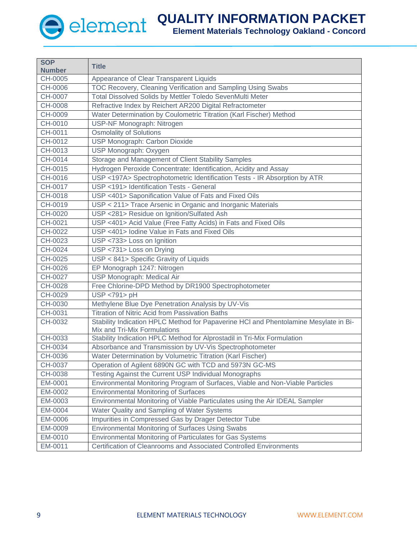

|                                                                                                                                                                                                                                                                                 | <b>Title</b>                                                                                                                                                                                                                                                                                                                                                                                                                                                                                                                                                                                                                                                                                                                                                                                                                                                                                                                                                                                                                                                                                                                                                                                                                                                                                                                                                                                                                                                                                                         |  |  |  |  |  |
|---------------------------------------------------------------------------------------------------------------------------------------------------------------------------------------------------------------------------------------------------------------------------------|----------------------------------------------------------------------------------------------------------------------------------------------------------------------------------------------------------------------------------------------------------------------------------------------------------------------------------------------------------------------------------------------------------------------------------------------------------------------------------------------------------------------------------------------------------------------------------------------------------------------------------------------------------------------------------------------------------------------------------------------------------------------------------------------------------------------------------------------------------------------------------------------------------------------------------------------------------------------------------------------------------------------------------------------------------------------------------------------------------------------------------------------------------------------------------------------------------------------------------------------------------------------------------------------------------------------------------------------------------------------------------------------------------------------------------------------------------------------------------------------------------------------|--|--|--|--|--|
| <b>Number</b><br>CH-0005                                                                                                                                                                                                                                                        | Appearance of Clear Transparent Liquids                                                                                                                                                                                                                                                                                                                                                                                                                                                                                                                                                                                                                                                                                                                                                                                                                                                                                                                                                                                                                                                                                                                                                                                                                                                                                                                                                                                                                                                                              |  |  |  |  |  |
| CH-0006                                                                                                                                                                                                                                                                         |                                                                                                                                                                                                                                                                                                                                                                                                                                                                                                                                                                                                                                                                                                                                                                                                                                                                                                                                                                                                                                                                                                                                                                                                                                                                                                                                                                                                                                                                                                                      |  |  |  |  |  |
|                                                                                                                                                                                                                                                                                 | TOC Recovery, Cleaning Verification and Sampling Using Swabs                                                                                                                                                                                                                                                                                                                                                                                                                                                                                                                                                                                                                                                                                                                                                                                                                                                                                                                                                                                                                                                                                                                                                                                                                                                                                                                                                                                                                                                         |  |  |  |  |  |
| CH-0007<br>CH-0008                                                                                                                                                                                                                                                              | Total Dissolved Solids by Mettler Toledo SevenMulti Meter                                                                                                                                                                                                                                                                                                                                                                                                                                                                                                                                                                                                                                                                                                                                                                                                                                                                                                                                                                                                                                                                                                                                                                                                                                                                                                                                                                                                                                                            |  |  |  |  |  |
|                                                                                                                                                                                                                                                                                 | Refractive Index by Reichert AR200 Digital Refractometer                                                                                                                                                                                                                                                                                                                                                                                                                                                                                                                                                                                                                                                                                                                                                                                                                                                                                                                                                                                                                                                                                                                                                                                                                                                                                                                                                                                                                                                             |  |  |  |  |  |
| CH-0009                                                                                                                                                                                                                                                                         | Water Determination by Coulometric Titration (Karl Fischer) Method                                                                                                                                                                                                                                                                                                                                                                                                                                                                                                                                                                                                                                                                                                                                                                                                                                                                                                                                                                                                                                                                                                                                                                                                                                                                                                                                                                                                                                                   |  |  |  |  |  |
| CH-0010                                                                                                                                                                                                                                                                         | USP-NF Monograph: Nitrogen                                                                                                                                                                                                                                                                                                                                                                                                                                                                                                                                                                                                                                                                                                                                                                                                                                                                                                                                                                                                                                                                                                                                                                                                                                                                                                                                                                                                                                                                                           |  |  |  |  |  |
| CH-0011                                                                                                                                                                                                                                                                         | <b>Osmolality of Solutions</b>                                                                                                                                                                                                                                                                                                                                                                                                                                                                                                                                                                                                                                                                                                                                                                                                                                                                                                                                                                                                                                                                                                                                                                                                                                                                                                                                                                                                                                                                                       |  |  |  |  |  |
| CH-0012                                                                                                                                                                                                                                                                         | USP Monograph: Carbon Dioxide                                                                                                                                                                                                                                                                                                                                                                                                                                                                                                                                                                                                                                                                                                                                                                                                                                                                                                                                                                                                                                                                                                                                                                                                                                                                                                                                                                                                                                                                                        |  |  |  |  |  |
|                                                                                                                                                                                                                                                                                 |                                                                                                                                                                                                                                                                                                                                                                                                                                                                                                                                                                                                                                                                                                                                                                                                                                                                                                                                                                                                                                                                                                                                                                                                                                                                                                                                                                                                                                                                                                                      |  |  |  |  |  |
|                                                                                                                                                                                                                                                                                 |                                                                                                                                                                                                                                                                                                                                                                                                                                                                                                                                                                                                                                                                                                                                                                                                                                                                                                                                                                                                                                                                                                                                                                                                                                                                                                                                                                                                                                                                                                                      |  |  |  |  |  |
|                                                                                                                                                                                                                                                                                 |                                                                                                                                                                                                                                                                                                                                                                                                                                                                                                                                                                                                                                                                                                                                                                                                                                                                                                                                                                                                                                                                                                                                                                                                                                                                                                                                                                                                                                                                                                                      |  |  |  |  |  |
|                                                                                                                                                                                                                                                                                 |                                                                                                                                                                                                                                                                                                                                                                                                                                                                                                                                                                                                                                                                                                                                                                                                                                                                                                                                                                                                                                                                                                                                                                                                                                                                                                                                                                                                                                                                                                                      |  |  |  |  |  |
|                                                                                                                                                                                                                                                                                 |                                                                                                                                                                                                                                                                                                                                                                                                                                                                                                                                                                                                                                                                                                                                                                                                                                                                                                                                                                                                                                                                                                                                                                                                                                                                                                                                                                                                                                                                                                                      |  |  |  |  |  |
|                                                                                                                                                                                                                                                                                 |                                                                                                                                                                                                                                                                                                                                                                                                                                                                                                                                                                                                                                                                                                                                                                                                                                                                                                                                                                                                                                                                                                                                                                                                                                                                                                                                                                                                                                                                                                                      |  |  |  |  |  |
|                                                                                                                                                                                                                                                                                 |                                                                                                                                                                                                                                                                                                                                                                                                                                                                                                                                                                                                                                                                                                                                                                                                                                                                                                                                                                                                                                                                                                                                                                                                                                                                                                                                                                                                                                                                                                                      |  |  |  |  |  |
|                                                                                                                                                                                                                                                                                 |                                                                                                                                                                                                                                                                                                                                                                                                                                                                                                                                                                                                                                                                                                                                                                                                                                                                                                                                                                                                                                                                                                                                                                                                                                                                                                                                                                                                                                                                                                                      |  |  |  |  |  |
|                                                                                                                                                                                                                                                                                 |                                                                                                                                                                                                                                                                                                                                                                                                                                                                                                                                                                                                                                                                                                                                                                                                                                                                                                                                                                                                                                                                                                                                                                                                                                                                                                                                                                                                                                                                                                                      |  |  |  |  |  |
|                                                                                                                                                                                                                                                                                 |                                                                                                                                                                                                                                                                                                                                                                                                                                                                                                                                                                                                                                                                                                                                                                                                                                                                                                                                                                                                                                                                                                                                                                                                                                                                                                                                                                                                                                                                                                                      |  |  |  |  |  |
| CH-0023                                                                                                                                                                                                                                                                         | USP <733> Loss on Ignition                                                                                                                                                                                                                                                                                                                                                                                                                                                                                                                                                                                                                                                                                                                                                                                                                                                                                                                                                                                                                                                                                                                                                                                                                                                                                                                                                                                                                                                                                           |  |  |  |  |  |
|                                                                                                                                                                                                                                                                                 | USP <731> Loss on Drying                                                                                                                                                                                                                                                                                                                                                                                                                                                                                                                                                                                                                                                                                                                                                                                                                                                                                                                                                                                                                                                                                                                                                                                                                                                                                                                                                                                                                                                                                             |  |  |  |  |  |
|                                                                                                                                                                                                                                                                                 |                                                                                                                                                                                                                                                                                                                                                                                                                                                                                                                                                                                                                                                                                                                                                                                                                                                                                                                                                                                                                                                                                                                                                                                                                                                                                                                                                                                                                                                                                                                      |  |  |  |  |  |
| CH-0026                                                                                                                                                                                                                                                                         |                                                                                                                                                                                                                                                                                                                                                                                                                                                                                                                                                                                                                                                                                                                                                                                                                                                                                                                                                                                                                                                                                                                                                                                                                                                                                                                                                                                                                                                                                                                      |  |  |  |  |  |
| CH-0027                                                                                                                                                                                                                                                                         | USP Monograph: Medical Air                                                                                                                                                                                                                                                                                                                                                                                                                                                                                                                                                                                                                                                                                                                                                                                                                                                                                                                                                                                                                                                                                                                                                                                                                                                                                                                                                                                                                                                                                           |  |  |  |  |  |
| CH-0028                                                                                                                                                                                                                                                                         | Free Chlorine-DPD Method by DR1900 Spectrophotometer                                                                                                                                                                                                                                                                                                                                                                                                                                                                                                                                                                                                                                                                                                                                                                                                                                                                                                                                                                                                                                                                                                                                                                                                                                                                                                                                                                                                                                                                 |  |  |  |  |  |
| CH-0029                                                                                                                                                                                                                                                                         | USP <791> pH                                                                                                                                                                                                                                                                                                                                                                                                                                                                                                                                                                                                                                                                                                                                                                                                                                                                                                                                                                                                                                                                                                                                                                                                                                                                                                                                                                                                                                                                                                         |  |  |  |  |  |
| CH-0030                                                                                                                                                                                                                                                                         | Methylene Blue Dye Penetration Analysis by UV-Vis                                                                                                                                                                                                                                                                                                                                                                                                                                                                                                                                                                                                                                                                                                                                                                                                                                                                                                                                                                                                                                                                                                                                                                                                                                                                                                                                                                                                                                                                    |  |  |  |  |  |
| CH-0031                                                                                                                                                                                                                                                                         | <b>Titration of Nitric Acid from Passivation Baths</b>                                                                                                                                                                                                                                                                                                                                                                                                                                                                                                                                                                                                                                                                                                                                                                                                                                                                                                                                                                                                                                                                                                                                                                                                                                                                                                                                                                                                                                                               |  |  |  |  |  |
| CH-0032                                                                                                                                                                                                                                                                         | Stability Indication HPLC Method for Papaverine HCI and Phentolamine Mesylate in Bi-                                                                                                                                                                                                                                                                                                                                                                                                                                                                                                                                                                                                                                                                                                                                                                                                                                                                                                                                                                                                                                                                                                                                                                                                                                                                                                                                                                                                                                 |  |  |  |  |  |
|                                                                                                                                                                                                                                                                                 |                                                                                                                                                                                                                                                                                                                                                                                                                                                                                                                                                                                                                                                                                                                                                                                                                                                                                                                                                                                                                                                                                                                                                                                                                                                                                                                                                                                                                                                                                                                      |  |  |  |  |  |
|                                                                                                                                                                                                                                                                                 |                                                                                                                                                                                                                                                                                                                                                                                                                                                                                                                                                                                                                                                                                                                                                                                                                                                                                                                                                                                                                                                                                                                                                                                                                                                                                                                                                                                                                                                                                                                      |  |  |  |  |  |
|                                                                                                                                                                                                                                                                                 |                                                                                                                                                                                                                                                                                                                                                                                                                                                                                                                                                                                                                                                                                                                                                                                                                                                                                                                                                                                                                                                                                                                                                                                                                                                                                                                                                                                                                                                                                                                      |  |  |  |  |  |
|                                                                                                                                                                                                                                                                                 |                                                                                                                                                                                                                                                                                                                                                                                                                                                                                                                                                                                                                                                                                                                                                                                                                                                                                                                                                                                                                                                                                                                                                                                                                                                                                                                                                                                                                                                                                                                      |  |  |  |  |  |
|                                                                                                                                                                                                                                                                                 |                                                                                                                                                                                                                                                                                                                                                                                                                                                                                                                                                                                                                                                                                                                                                                                                                                                                                                                                                                                                                                                                                                                                                                                                                                                                                                                                                                                                                                                                                                                      |  |  |  |  |  |
|                                                                                                                                                                                                                                                                                 |                                                                                                                                                                                                                                                                                                                                                                                                                                                                                                                                                                                                                                                                                                                                                                                                                                                                                                                                                                                                                                                                                                                                                                                                                                                                                                                                                                                                                                                                                                                      |  |  |  |  |  |
|                                                                                                                                                                                                                                                                                 |                                                                                                                                                                                                                                                                                                                                                                                                                                                                                                                                                                                                                                                                                                                                                                                                                                                                                                                                                                                                                                                                                                                                                                                                                                                                                                                                                                                                                                                                                                                      |  |  |  |  |  |
|                                                                                                                                                                                                                                                                                 |                                                                                                                                                                                                                                                                                                                                                                                                                                                                                                                                                                                                                                                                                                                                                                                                                                                                                                                                                                                                                                                                                                                                                                                                                                                                                                                                                                                                                                                                                                                      |  |  |  |  |  |
|                                                                                                                                                                                                                                                                                 |                                                                                                                                                                                                                                                                                                                                                                                                                                                                                                                                                                                                                                                                                                                                                                                                                                                                                                                                                                                                                                                                                                                                                                                                                                                                                                                                                                                                                                                                                                                      |  |  |  |  |  |
|                                                                                                                                                                                                                                                                                 |                                                                                                                                                                                                                                                                                                                                                                                                                                                                                                                                                                                                                                                                                                                                                                                                                                                                                                                                                                                                                                                                                                                                                                                                                                                                                                                                                                                                                                                                                                                      |  |  |  |  |  |
|                                                                                                                                                                                                                                                                                 |                                                                                                                                                                                                                                                                                                                                                                                                                                                                                                                                                                                                                                                                                                                                                                                                                                                                                                                                                                                                                                                                                                                                                                                                                                                                                                                                                                                                                                                                                                                      |  |  |  |  |  |
|                                                                                                                                                                                                                                                                                 |                                                                                                                                                                                                                                                                                                                                                                                                                                                                                                                                                                                                                                                                                                                                                                                                                                                                                                                                                                                                                                                                                                                                                                                                                                                                                                                                                                                                                                                                                                                      |  |  |  |  |  |
|                                                                                                                                                                                                                                                                                 |                                                                                                                                                                                                                                                                                                                                                                                                                                                                                                                                                                                                                                                                                                                                                                                                                                                                                                                                                                                                                                                                                                                                                                                                                                                                                                                                                                                                                                                                                                                      |  |  |  |  |  |
| CH-0013<br>CH-0014<br>CH-0015<br>CH-0016<br>CH-0017<br>CH-0018<br>CH-0019<br>CH-0020<br>CH-0021<br>CH-0022<br>CH-0024<br>CH-0025<br>CH-0033<br>CH-0034<br>CH-0036<br>CH-0037<br>CH-0038<br>EM-0001<br>EM-0002<br>EM-0003<br>EM-0004<br>EM-0006<br>EM-0009<br>EM-0010<br>EM-0011 | USP Monograph: Oxygen<br>Storage and Management of Client Stability Samples<br>Hydrogen Peroxide Concentrate: Identification, Acidity and Assay<br>USP <197A> Spectrophotometric Identification Tests - IR Absorption by ATR<br>USP <191> Identification Tests - General<br>USP <401> Saponification Value of Fats and Fixed Oils<br>USP < 211> Trace Arsenic in Organic and Inorganic Materials<br>USP <281> Residue on Ignition/Sulfated Ash<br>USP <401> Acid Value (Free Fatty Acids) in Fats and Fixed Oils<br>USP <401> Iodine Value in Fats and Fixed Oils<br>USP < 841> Specific Gravity of Liquids<br>EP Monograph 1247: Nitrogen<br>Mix and Tri-Mix Formulations<br>Stability Indication HPLC Method for Alprostadil in Tri-Mix Formulation<br>Absorbance and Transmission by UV-Vis Spectrophotometer<br>Water Determination by Volumetric Titration (Karl Fischer)<br>Operation of Agilent 6890N GC with TCD and 5973N GC-MS<br>Testing Against the Current USP Individual Monographs<br>Environmental Monitoring Program of Surfaces, Viable and Non-Viable Particles<br><b>Environmental Monitoring of Surfaces</b><br>Environmental Monitoring of Viable Particulates using the Air IDEAL Sampler<br>Water Quality and Sampling of Water Systems<br>Impurities in Compressed Gas by Drager Detector Tube<br><b>Environmental Monitoring of Surfaces Using Swabs</b><br>Environmental Monitoring of Particulates for Gas Systems<br>Certification of Cleanrooms and Associated Controlled Environments |  |  |  |  |  |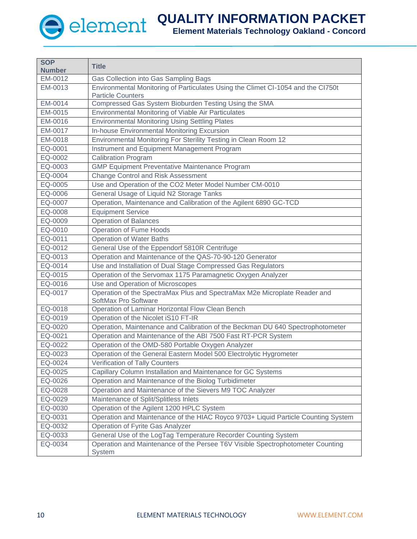

| <b>SOP</b>    | <b>Title</b>                                                                                                 |  |  |  |  |  |
|---------------|--------------------------------------------------------------------------------------------------------------|--|--|--|--|--|
| <b>Number</b> |                                                                                                              |  |  |  |  |  |
| EM-0012       | Gas Collection into Gas Sampling Bags                                                                        |  |  |  |  |  |
| EM-0013       | Environmental Monitoring of Particulates Using the Climet CI-1054 and the CI750t<br><b>Particle Counters</b> |  |  |  |  |  |
| EM-0014       | Compressed Gas System Bioburden Testing Using the SMA                                                        |  |  |  |  |  |
| EM-0015       | Environmental Monitoring of Viable Air Particulates                                                          |  |  |  |  |  |
| EM-0016       | <b>Environmental Monitoring Using Settling Plates</b>                                                        |  |  |  |  |  |
| EM-0017       | In-house Environmental Monitoring Excursion                                                                  |  |  |  |  |  |
| EM-0018       | Environmental Monitoring For Sterility Testing in Clean Room 12                                              |  |  |  |  |  |
| EQ-0001       | Instrument and Equipment Management Program                                                                  |  |  |  |  |  |
| EQ-0002       | <b>Calibration Program</b>                                                                                   |  |  |  |  |  |
| EQ-0003       | <b>GMP Equipment Preventative Maintenance Program</b>                                                        |  |  |  |  |  |
| EQ-0004       | <b>Change Control and Risk Assessment</b>                                                                    |  |  |  |  |  |
| EQ-0005       | Use and Operation of the CO2 Meter Model Number CM-0010                                                      |  |  |  |  |  |
| EQ-0006       | General Usage of Liquid N2 Storage Tanks                                                                     |  |  |  |  |  |
| EQ-0007       | Operation, Maintenance and Calibration of the Agilent 6890 GC-TCD                                            |  |  |  |  |  |
| EQ-0008       | <b>Equipment Service</b>                                                                                     |  |  |  |  |  |
| EQ-0009       | <b>Operation of Balances</b>                                                                                 |  |  |  |  |  |
| EQ-0010       | <b>Operation of Fume Hoods</b>                                                                               |  |  |  |  |  |
| EQ-0011       | <b>Operation of Water Baths</b>                                                                              |  |  |  |  |  |
| EQ-0012       | General Use of the Eppendorf 5810R Centrifuge                                                                |  |  |  |  |  |
| EQ-0013       | Operation and Maintenance of the QAS-70-90-120 Generator                                                     |  |  |  |  |  |
| EQ-0014       | Use and Installation of Dual Stage Compressed Gas Regulators                                                 |  |  |  |  |  |
| EQ-0015       | Operation of the Servomax 1175 Paramagnetic Oxygen Analyzer                                                  |  |  |  |  |  |
| EQ-0016       | Use and Operation of Microscopes                                                                             |  |  |  |  |  |
| EQ-0017       | Operation of the SpectraMax Plus and SpectraMax M2e Microplate Reader and<br>SoftMax Pro Software            |  |  |  |  |  |
| EQ-0018       | Operation of Laminar Horizontal Flow Clean Bench                                                             |  |  |  |  |  |
| EQ-0019       | Operation of the Nicolet iS10 FT-IR                                                                          |  |  |  |  |  |
| EQ-0020       | Operation, Maintenance and Calibration of the Beckman DU 640 Spectrophotometer                               |  |  |  |  |  |
| EQ-0021       | Operation and Maintenance of the ABI 7500 Fast RT-PCR System                                                 |  |  |  |  |  |
| EQ-0022       | Operation of the OMD-580 Portable Oxygen Analyzer                                                            |  |  |  |  |  |
| EQ-0023       | Operation of the General Eastern Model 500 Electrolytic Hygrometer                                           |  |  |  |  |  |
| EQ-0024       | Verification of Tally Counters                                                                               |  |  |  |  |  |
| EQ-0025       | Capillary Column Installation and Maintenance for GC Systems                                                 |  |  |  |  |  |
| EQ-0026       | Operation and Maintenance of the Biolog Turbidimeter                                                         |  |  |  |  |  |
| EQ-0028       | Operation and Maintenance of the Sievers M9 TOC Analyzer                                                     |  |  |  |  |  |
| EQ-0029       | Maintenance of Split/Splitless Inlets                                                                        |  |  |  |  |  |
| EQ-0030       | Operation of the Agilent 1200 HPLC System                                                                    |  |  |  |  |  |
| EQ-0031       | Operation and Maintenance of the HIAC Royco 9703+ Liquid Particle Counting System                            |  |  |  |  |  |
| EQ-0032       | Operation of Fyrite Gas Analyzer                                                                             |  |  |  |  |  |
| EQ-0033       | General Use of the LogTag Temperature Recorder Counting System                                               |  |  |  |  |  |
| EQ-0034       | Operation and Maintenance of the Persee T6V Visible Spectrophotometer Counting<br><b>System</b>              |  |  |  |  |  |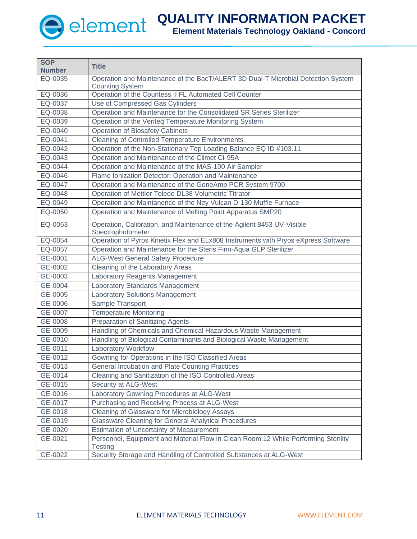

| <b>SOP</b><br><b>Number</b> | <b>Title</b>                                                                                         |  |  |  |  |
|-----------------------------|------------------------------------------------------------------------------------------------------|--|--|--|--|
| EQ-0035                     | Operation and Maintenance of the BacT/ALERT 3D Dual-T Microbial Detection System                     |  |  |  |  |
|                             | <b>Counting System</b>                                                                               |  |  |  |  |
| EQ-0036                     | Operation of the Countess II FL Automated Cell Counter                                               |  |  |  |  |
| EQ-0037                     | Use of Compressed Gas Cylinders                                                                      |  |  |  |  |
| EQ-0038                     | Operation and Maintenance for the Consolidated SR Series Sterilizer                                  |  |  |  |  |
| EQ-0039                     | Operation of the Veriteq Temperature Monitoring System                                               |  |  |  |  |
| EQ-0040                     | Operation of Biosafety Cabinets                                                                      |  |  |  |  |
| EQ-0041                     | <b>Cleaning of Controlled Temperature Environments</b>                                               |  |  |  |  |
| EQ-0042                     | Operation of the Non-Stationary Top Loading Balance EQ ID #103.11                                    |  |  |  |  |
| EQ-0043                     | Operation and Maintenance of the Climet CI-95A                                                       |  |  |  |  |
| EQ-0044                     | Operation and Maintenance of the MAS-100 Air Sampler                                                 |  |  |  |  |
| EQ-0046                     | Flame Ionization Detector: Operation and Maintenance                                                 |  |  |  |  |
| EQ-0047                     | Operation and Maintenance of the GeneAmp PCR System 9700                                             |  |  |  |  |
| EQ-0048                     | Operation of Mettler Toledo DL38 Volumetric Titrator                                                 |  |  |  |  |
| EQ-0049                     | Operation and Maintanence of the Ney Vulcan D-130 Muffle Furnace                                     |  |  |  |  |
| EQ-0050                     | Operation and Maintenance of Melting Point Apparatus SMP20                                           |  |  |  |  |
| EQ-0053                     | Operation, Calibration, and Maintenance of the Agilent 8453 UV-Visible<br>Spectrophotometer          |  |  |  |  |
| EQ-0054                     | Operation of Pyros Kinetix Flex and ELx808 Instruments with Pryos eXpress Software                   |  |  |  |  |
| EQ-0057                     | Operation and Maintenance for the Steris Finn-Aqua GLP Sterilizer                                    |  |  |  |  |
| GE-0001                     | <b>ALG-West General Safety Procedure</b>                                                             |  |  |  |  |
| GE-0002                     | Cleaning of the Laboratory Areas                                                                     |  |  |  |  |
| GE-0003                     | <b>Laboratory Reagents Management</b>                                                                |  |  |  |  |
| GE-0004                     | Laboratory Standards Management                                                                      |  |  |  |  |
| GE-0005                     | <b>Laboratory Solutions Management</b>                                                               |  |  |  |  |
| GE-0006                     | Sample Transport                                                                                     |  |  |  |  |
| GE-0007                     | <b>Temperature Monitoring</b>                                                                        |  |  |  |  |
| GE-0008                     | <b>Preparation of Sanitizing Agents</b>                                                              |  |  |  |  |
| GE-0009                     | Handling of Chemicals and Chemical Hazardous Waste Management                                        |  |  |  |  |
| GE-0010                     | Handling of Biological Contaminants and Biological Waste Management                                  |  |  |  |  |
| GE-0011                     | <b>Laboratory Workflow</b>                                                                           |  |  |  |  |
| GE-0012                     | Gowning for Operations in the ISO Classified Areas                                                   |  |  |  |  |
| GE-0013                     | <b>General Incubation and Plate Counting Practices</b>                                               |  |  |  |  |
| GE-0014                     | Cleaning and Sanitization of the ISO Controlled Areas                                                |  |  |  |  |
| GE-0015                     | Security at ALG-West                                                                                 |  |  |  |  |
| GE-0016                     | Laboratory Gowning Procedures at ALG-West                                                            |  |  |  |  |
| GE-0017                     | Purchasing and Receiving Process at ALG-West                                                         |  |  |  |  |
| $GE-0018$                   | Cleaning of Glassware for Microbiology Assays                                                        |  |  |  |  |
| GE-0019                     | <b>Glassware Cleaning for General Analytical Procedures</b>                                          |  |  |  |  |
| GE-0020                     | <b>Estimation of Uncertainty of Measurement</b>                                                      |  |  |  |  |
| GE-0021                     | Personnel, Equipment and Material Flow in Clean Room 12 While Performing Sterility<br><b>Testing</b> |  |  |  |  |
| GE-0022                     | Security Storage and Handling of Controlled Substances at ALG-West                                   |  |  |  |  |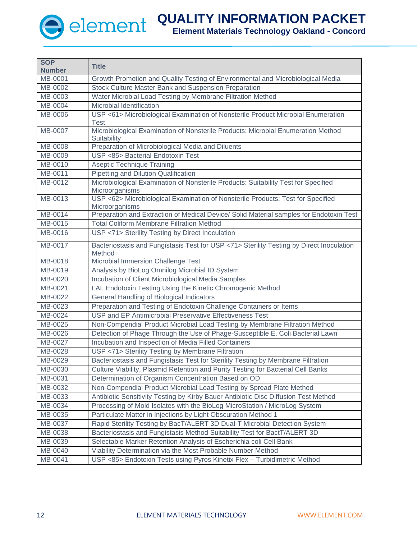

┱

**SOP**

**QUALITY INFORMATION PACKET**

| SUP I<br><b>Number</b> | <b>Title</b>                                                                                         |  |  |  |  |
|------------------------|------------------------------------------------------------------------------------------------------|--|--|--|--|
| MB-0001                | Growth Promotion and Quality Testing of Environmental and Microbiological Media                      |  |  |  |  |
| MB-0002                | Stock Culture Master Bank and Suspension Preparation                                                 |  |  |  |  |
| MB-0003                | Water Microbial Load Testing by Membrane Filtration Method                                           |  |  |  |  |
| MB-0004                | Microbial Identification                                                                             |  |  |  |  |
| MB-0006                | USP <61> Microbiological Examination of Nonsterile Product Microbial Enumeration<br><b>Test</b>      |  |  |  |  |
| MB-0007                | Microbiological Examination of Nonsterile Products: Microbial Enumeration Method<br>Suitability      |  |  |  |  |
| MB-0008                | Preparation of Microbiological Media and Diluents                                                    |  |  |  |  |
| MB-0009                | USP <85> Bacterial Endotoxin Test                                                                    |  |  |  |  |
| MB-0010                | <b>Aseptic Technique Training</b>                                                                    |  |  |  |  |
| MB-0011                | <b>Pipetting and Dilution Qualification</b>                                                          |  |  |  |  |
| MB-0012                | Microbiological Examination of Nonsterile Products: Suitability Test for Specified<br>Microorganisms |  |  |  |  |
| MB-0013                | USP <62> Microbiological Examination of Nonsterile Products: Test for Specified<br>Microorganisms    |  |  |  |  |
| MB-0014                | Preparation and Extraction of Medical Device/ Solid Material samples for Endotoxin Test              |  |  |  |  |
| MB-0015                | <b>Total Coliform Membrane Filtration Method</b>                                                     |  |  |  |  |
| MB-0016                | USP <71> Sterility Testing by Direct Inoculation                                                     |  |  |  |  |
| MB-0017                | Bacteriostasis and Fungistasis Test for USP <71> Sterility Testing by Direct Inoculation<br>Method   |  |  |  |  |
| MB-0018                | Microbial Immersion Challenge Test                                                                   |  |  |  |  |
| MB-0019                | Analysis by BioLog Omnilog Microbial ID System                                                       |  |  |  |  |
| MB-0020                | Incubation of Client Microbiological Media Samples                                                   |  |  |  |  |
| MB-0021                | LAL Endotoxin Testing Using the Kinetic Chromogenic Method                                           |  |  |  |  |
| MB-0022                | General Handling of Biological Indicators                                                            |  |  |  |  |
| MB-0023                | Preparation and Testing of Endotoxin Challenge Containers or Items                                   |  |  |  |  |
| MB-0024                | USP and EP Antimicrobial Preservative Effectiveness Test                                             |  |  |  |  |
| MB-0025                | Non-Compendial Product Microbial Load Testing by Membrane Filtration Method                          |  |  |  |  |
| MB-0026                | Detection of Phage Through the Use of Phage-Susceptible E. Coli Bacterial Lawn                       |  |  |  |  |
| MB-0027                | Incubation and Inspection of Media Filled Containers                                                 |  |  |  |  |
| MB-0028                | USP <71> Sterility Testing by Membrane Filtration                                                    |  |  |  |  |
| MB-0029                | Bacteriostasis and Fungistasis Test for Sterility Testing by Membrane Filtration                     |  |  |  |  |
| MB-0030                | Culture Viability, Plasmid Retention and Purity Testing for Bacterial Cell Banks                     |  |  |  |  |
| MB-0031                | Determination of Organism Concentration Based on OD                                                  |  |  |  |  |
| MB-0032                | Non-Compendial Product Microbial Load Testing by Spread Plate Method                                 |  |  |  |  |
| MB-0033                | Antibiotic Sensitivity Testing by Kirby Bauer Antibiotic Disc Diffusion Test Method                  |  |  |  |  |
| MB-0034                | Processing of Mold Isolates with the BioLog MicroStation / MicroLog System                           |  |  |  |  |
| MB-0035                | Particulate Matter in Injections by Light Obscuration Method 1                                       |  |  |  |  |
| MB-0037                | Rapid Sterility Testing by BacT/ALERT 3D Dual-T Microbial Detection System                           |  |  |  |  |
| MB-0038                | Bacteriostasis and Fungistasis Method Suitability Test for BactT/ALERT 3D                            |  |  |  |  |
| MB-0039                | Selectable Marker Retention Analysis of Escherichia coli Cell Bank                                   |  |  |  |  |
| MB-0040                | Viability Determination via the Most Probable Number Method                                          |  |  |  |  |
| MB-0041                | USP <85> Endotoxin Tests using Pyros Kinetix Flex - Turbidimetric Method                             |  |  |  |  |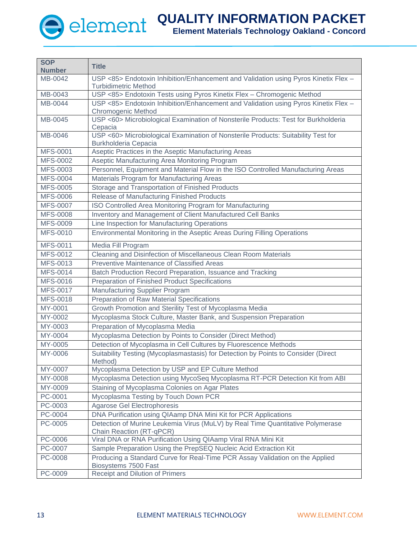

| <b>SOP</b>      | <b>Title</b>                                                                                                     |  |  |  |  |  |
|-----------------|------------------------------------------------------------------------------------------------------------------|--|--|--|--|--|
| <b>Number</b>   |                                                                                                                  |  |  |  |  |  |
| MB-0042         | USP <85> Endotoxin Inhibition/Enhancement and Validation using Pyros Kinetix Flex -                              |  |  |  |  |  |
| MB-0043         | <b>Turbidimetric Method</b><br>USP <85> Endotoxin Tests using Pyros Kinetix Flex - Chromogenic Method            |  |  |  |  |  |
| MB-0044         |                                                                                                                  |  |  |  |  |  |
|                 | USP <85> Endotoxin Inhibition/Enhancement and Validation using Pyros Kinetix Flex -<br><b>Chromogenic Method</b> |  |  |  |  |  |
| MB-0045         | USP <60> Microbiological Examination of Nonsterile Products: Test for Burkholderia                               |  |  |  |  |  |
|                 | Cepacia                                                                                                          |  |  |  |  |  |
| MB-0046         | USP <60> Microbiological Examination of Nonsterile Products: Suitability Test for<br><b>Burkholderia Cepacia</b> |  |  |  |  |  |
| <b>MFS-0001</b> | Aseptic Practices in the Aseptic Manufacturing Areas                                                             |  |  |  |  |  |
| <b>MFS-0002</b> | Aseptic Manufacturing Area Monitoring Program                                                                    |  |  |  |  |  |
| MFS-0003        | Personnel, Equipment and Material Flow in the ISO Controlled Manufacturing Areas                                 |  |  |  |  |  |
| <b>MFS-0004</b> | Materials Program for Manufacturing Areas                                                                        |  |  |  |  |  |
| <b>MFS-0005</b> | Storage and Transportation of Finished Products                                                                  |  |  |  |  |  |
| <b>MFS-0006</b> | Release of Manufacturing Finished Products                                                                       |  |  |  |  |  |
| <b>MFS-0007</b> | ISO Controlled Area Monitoring Program for Manufacturing                                                         |  |  |  |  |  |
| <b>MFS-0008</b> | Inventory and Management of Client Manufactured Cell Banks                                                       |  |  |  |  |  |
| <b>MFS-0009</b> | Line Inspection for Manufacturing Operations                                                                     |  |  |  |  |  |
| MFS-0010        | Environmental Monitoring in the Aseptic Areas During Filling Operations                                          |  |  |  |  |  |
| <b>MFS-0011</b> | Media Fill Program                                                                                               |  |  |  |  |  |
| MFS-0012        | Cleaning and Disinfection of Miscellaneous Clean Room Materials                                                  |  |  |  |  |  |
| MFS-0013        | Preventive Maintenance of Classified Areas                                                                       |  |  |  |  |  |
| <b>MFS-0014</b> | Batch Production Record Preparation, Issuance and Tracking                                                       |  |  |  |  |  |
| <b>MFS-0016</b> | Preparation of Finished Product Specifications                                                                   |  |  |  |  |  |
| <b>MFS-0017</b> | <b>Manufacturing Supplier Program</b>                                                                            |  |  |  |  |  |
| <b>MFS-0018</b> | <b>Preparation of Raw Material Specifications</b>                                                                |  |  |  |  |  |
| MY-0001         | Growth Promotion and Sterility Test of Mycoplasma Media                                                          |  |  |  |  |  |
| MY-0002         | Mycoplasma Stock Culture, Master Bank, and Suspension Preparation                                                |  |  |  |  |  |
| MY-0003         | Preparation of Mycoplasma Media                                                                                  |  |  |  |  |  |
| MY-0004         | Mycoplasma Detection by Points to Consider (Direct Method)                                                       |  |  |  |  |  |
| MY-0005         | Detection of Mycoplasma in Cell Cultures by Fluorescence Methods                                                 |  |  |  |  |  |
| MY-0006         | Suitability Testing (Mycoplasmastasis) for Detection by Points to Consider (Direct<br>Method)                    |  |  |  |  |  |
| MY-0007         | Mycoplasma Detection by USP and EP Culture Method                                                                |  |  |  |  |  |
| MY-0008         | Mycoplasma Detection using MycoSeq Mycoplasma RT-PCR Detection Kit from ABI                                      |  |  |  |  |  |
| MY-0009         | Staining of Mycoplasma Colonies on Agar Plates                                                                   |  |  |  |  |  |
| PC-0001         | Mycoplasma Testing by Touch Down PCR                                                                             |  |  |  |  |  |
| PC-0003         | <b>Agarose Gel Electrophoresis</b>                                                                               |  |  |  |  |  |
| PC-0004         | DNA Purification using QIAamp DNA Mini Kit for PCR Applications                                                  |  |  |  |  |  |
| PC-0005         | Detection of Murine Leukemia Virus (MuLV) by Real Time Quantitative Polymerase                                   |  |  |  |  |  |
|                 | Chain Reaction (RT-qPCR)                                                                                         |  |  |  |  |  |
| PC-0006         | Viral DNA or RNA Purification Using QIAamp Viral RNA Mini Kit                                                    |  |  |  |  |  |
| PC-0007         | Sample Preparation Using the PrepSEQ Nucleic Acid Extraction Kit                                                 |  |  |  |  |  |
| PC-0008         | Producing a Standard Curve for Real-Time PCR Assay Validation on the Applied<br>Biosystems 7500 Fast             |  |  |  |  |  |
| PC-0009         | Receipt and Dilution of Primers                                                                                  |  |  |  |  |  |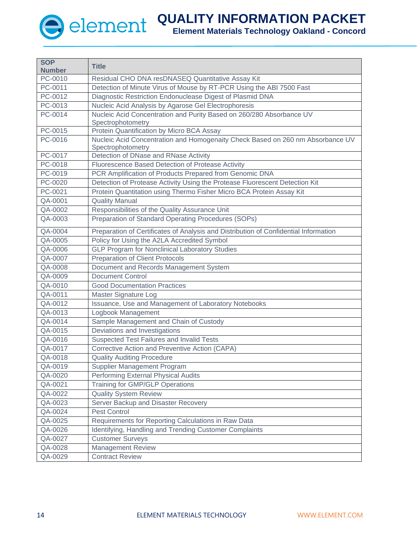

| <b>SOP</b>    | <b>Title</b>                                                                              |  |  |  |  |  |
|---------------|-------------------------------------------------------------------------------------------|--|--|--|--|--|
| <b>Number</b> |                                                                                           |  |  |  |  |  |
| PC-0010       | Residual CHO DNA resDNASEQ Quantitative Assay Kit                                         |  |  |  |  |  |
| PC-0011       | Detection of Minute Virus of Mouse by RT-PCR Using the ABI 7500 Fast                      |  |  |  |  |  |
| PC-0012       | Diagnostic Restriction Endonuclease Digest of Plasmid DNA                                 |  |  |  |  |  |
| PC-0013       | Nucleic Acid Analysis by Agarose Gel Electrophoresis                                      |  |  |  |  |  |
| PC-0014       | Nucleic Acid Concentration and Purity Based on 260/280 Absorbance UV<br>Spectrophotometry |  |  |  |  |  |
| PC-0015       | Protein Quantification by Micro BCA Assay                                                 |  |  |  |  |  |
| PC-0016       | Nucleic Acid Concentration and Homogenaity Check Based on 260 nm Absorbance UV            |  |  |  |  |  |
|               | Spectrophotometry                                                                         |  |  |  |  |  |
| PC-0017       | Detection of DNase and RNase Activity                                                     |  |  |  |  |  |
| PC-0018       | Fluorescence Based Detection of Protease Activity                                         |  |  |  |  |  |
| PC-0019       | PCR Amplification of Products Prepared from Genomic DNA                                   |  |  |  |  |  |
| PC-0020       | Detection of Protease Activity Using the Protease Fluorescent Detection Kit               |  |  |  |  |  |
| PC-0021       | Protein Quantitation using Thermo Fisher Micro BCA Protein Assay Kit                      |  |  |  |  |  |
| QA-0001       | <b>Quality Manual</b>                                                                     |  |  |  |  |  |
| QA-0002       | Responsibilities of the Quality Assurance Unit                                            |  |  |  |  |  |
| QA-0003       | Preparation of Standard Operating Procedures (SOPs)                                       |  |  |  |  |  |
| QA-0004       | Preparation of Certificates of Analysis and Distribution of Confidential Information      |  |  |  |  |  |
| QA-0005       | Policy for Using the A2LA Accredited Symbol                                               |  |  |  |  |  |
| QA-0006       | <b>GLP Program for Nonclinical Laboratory Studies</b>                                     |  |  |  |  |  |
| QA-0007       | <b>Preparation of Client Protocols</b>                                                    |  |  |  |  |  |
| QA-0008       | Document and Records Management System                                                    |  |  |  |  |  |
| QA-0009       | <b>Document Control</b>                                                                   |  |  |  |  |  |
| QA-0010       | <b>Good Documentation Practices</b>                                                       |  |  |  |  |  |
| QA-0011       | Master Signature Log                                                                      |  |  |  |  |  |
| QA-0012       | Issuance, Use and Management of Laboratory Notebooks                                      |  |  |  |  |  |
| QA-0013       | Logbook Management                                                                        |  |  |  |  |  |
| QA-0014       | Sample Management and Chain of Custody                                                    |  |  |  |  |  |
| QA-0015       | Deviations and Investigations                                                             |  |  |  |  |  |
| QA-0016       | <b>Suspected Test Failures and Invalid Tests</b>                                          |  |  |  |  |  |
| QA-0017       | Corrective Action and Preventive Action (CAPA)                                            |  |  |  |  |  |
| QA-0018       | <b>Quality Auditing Procedure</b>                                                         |  |  |  |  |  |
| QA-0019       | Supplier Management Program                                                               |  |  |  |  |  |
| QA-0020       | Performing External Physical Audits                                                       |  |  |  |  |  |
| QA-0021       | <b>Training for GMP/GLP Operations</b>                                                    |  |  |  |  |  |
| QA-0022       | <b>Quality System Review</b>                                                              |  |  |  |  |  |
| QA-0023       | Server Backup and Disaster Recovery                                                       |  |  |  |  |  |
| QA-0024       | <b>Pest Control</b>                                                                       |  |  |  |  |  |
| QA-0025       | Requirements for Reporting Calculations in Raw Data                                       |  |  |  |  |  |
| QA-0026       | Identifying, Handling and Trending Customer Complaints                                    |  |  |  |  |  |
| QA-0027       | <b>Customer Surveys</b>                                                                   |  |  |  |  |  |
| QA-0028       | <b>Management Review</b>                                                                  |  |  |  |  |  |
| QA-0029       | <b>Contract Review</b>                                                                    |  |  |  |  |  |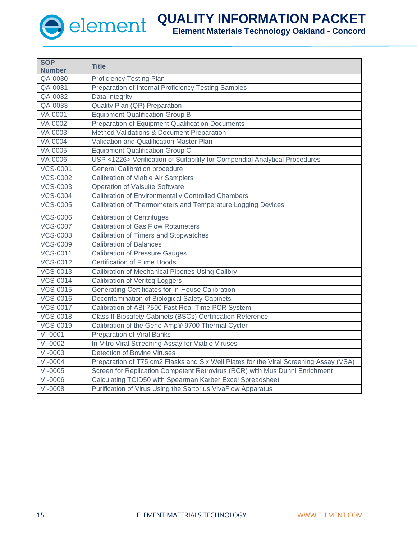

| <b>SOP</b><br><b>Number</b> | <b>Title</b>                                                                          |  |  |  |  |
|-----------------------------|---------------------------------------------------------------------------------------|--|--|--|--|
| QA-0030                     | <b>Proficiency Testing Plan</b>                                                       |  |  |  |  |
| QA-0031                     | Preparation of Internal Proficiency Testing Samples                                   |  |  |  |  |
| QA-0032                     | Data Integrity                                                                        |  |  |  |  |
| QA-0033                     | Quality Plan (QP) Preparation                                                         |  |  |  |  |
| VA-0001                     | <b>Equipment Qualification Group B</b>                                                |  |  |  |  |
| VA-0002                     | Preparation of Equipment Qualification Documents                                      |  |  |  |  |
| VA-0003                     | Method Validations & Document Preparation                                             |  |  |  |  |
| VA-0004                     | Validation and Qualification Master Plan                                              |  |  |  |  |
| VA-0005                     | <b>Equipment Qualification Group C</b>                                                |  |  |  |  |
| VA-0006                     | USP <1226> Verification of Suitability for Compendial Analytical Procedures           |  |  |  |  |
| <b>VCS-0001</b>             | <b>General Calibration procedure</b>                                                  |  |  |  |  |
| <b>VCS-0002</b>             | Calibration of Viable Air Samplers                                                    |  |  |  |  |
| <b>VCS-0003</b>             | <b>Operation of Valsuite Software</b>                                                 |  |  |  |  |
| <b>VCS-0004</b>             | <b>Calibration of Environmentally Controlled Chambers</b>                             |  |  |  |  |
| <b>VCS-0005</b>             | Calibration of Thermometers and Temperature Logging Devices                           |  |  |  |  |
| <b>VCS-0006</b>             | <b>Calibration of Centrifuges</b>                                                     |  |  |  |  |
| <b>VCS-0007</b>             | <b>Calibration of Gas Flow Rotameters</b>                                             |  |  |  |  |
| <b>VCS-0008</b>             | Calibration of Timers and Stopwatches                                                 |  |  |  |  |
| <b>VCS-0009</b>             | <b>Calibration of Balances</b>                                                        |  |  |  |  |
| <b>VCS-0011</b>             | <b>Calibration of Pressure Gauges</b>                                                 |  |  |  |  |
| <b>VCS-0012</b>             | <b>Certification of Fume Hoods</b>                                                    |  |  |  |  |
| <b>VCS-0013</b>             | <b>Calibration of Mechanical Pipettes Using Calibry</b>                               |  |  |  |  |
| <b>VCS-0014</b>             | <b>Calibration of Veriteq Loggers</b>                                                 |  |  |  |  |
| <b>VCS-0015</b>             | Generating Certificates for In-House Calibration                                      |  |  |  |  |
| <b>VCS-0016</b>             | Decontamination of Biological Safety Cabinets                                         |  |  |  |  |
| <b>VCS-0017</b>             | Calibration of ABI 7500 Fast Real-Time PCR System                                     |  |  |  |  |
| <b>VCS-0018</b>             | Class II Biosafety Cabinets (BSCs) Certification Reference                            |  |  |  |  |
| <b>VCS-0019</b>             | Calibration of the Gene Amp® 9700 Thermal Cycler                                      |  |  |  |  |
| VI-0001                     | <b>Preparation of Viral Banks</b>                                                     |  |  |  |  |
| $VI-0002$                   | In-Vitro Viral Screening Assay for Viable Viruses                                     |  |  |  |  |
| VI-0003                     | <b>Detection of Bovine Viruses</b>                                                    |  |  |  |  |
| VI-0004                     | Preparation of T75 cm2 Flasks and Six Well Plates for the Viral Screening Assay (VSA) |  |  |  |  |
| $VI-0005$                   | Screen for Replication Competent Retrovirus (RCR) with Mus Dunni Enrichment           |  |  |  |  |
| VI-0006                     | Calculating TCID50 with Spearman Karber Excel Spreadsheet                             |  |  |  |  |
| VI-0008                     | Purification of Virus Using the Sartorius VivaFlow Apparatus                          |  |  |  |  |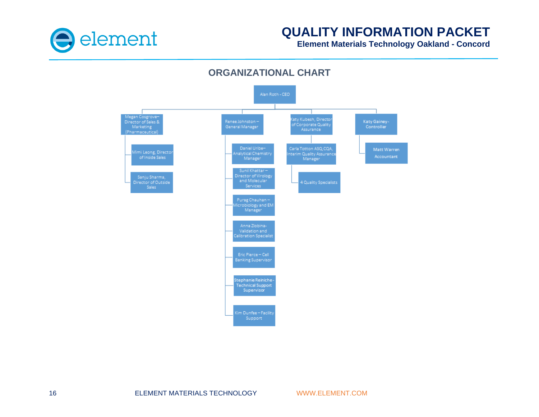

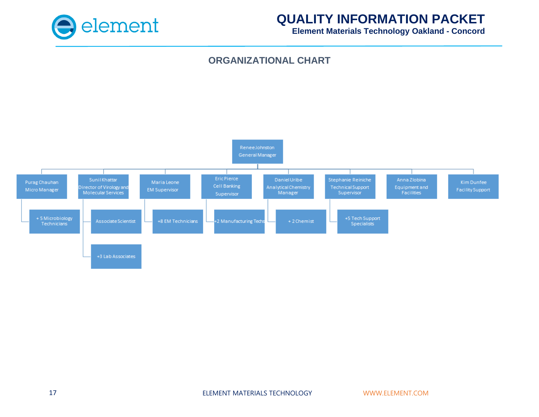



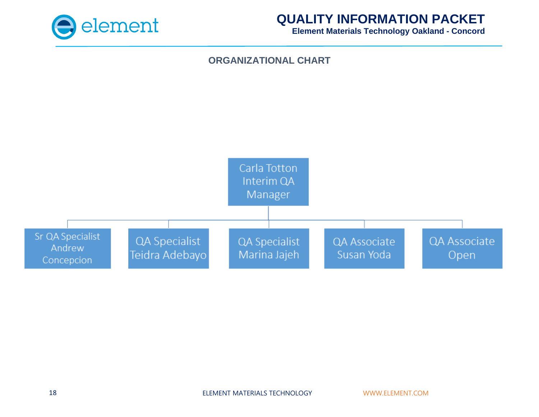

### **QUALITY INFORMATION PACKET Element Materials Technology Oakland - Concord**



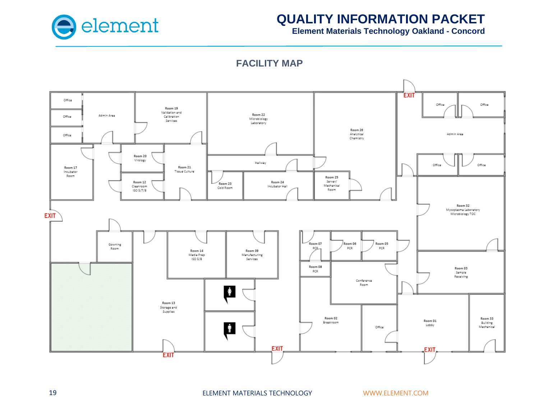

**Element Materials Technology Oakland - Concord**

**FACILITY MAP**



19 ELEMENT MATERIALS TECHNOLOGY WWW.ELEMENT.COM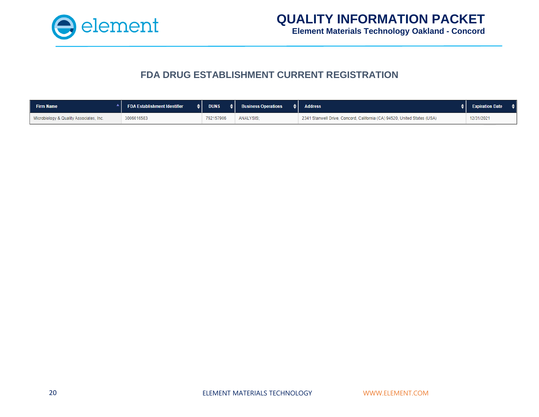

### **QUALITY INFORMATION PACKET Element Materials Technology Oakland - Concord**

### **FDA DRUG ESTABLISHMENT CURRENT REGISTRATION**

| <b>Firm Name</b>                        | <b>FDA Establishment Identifier</b> |           | → DUNS → Business Operations → Address |                                                                          | $\frac{1}{2}$   Expiration Date |
|-----------------------------------------|-------------------------------------|-----------|----------------------------------------|--------------------------------------------------------------------------|---------------------------------|
| Microbiology & Quality Associates, Inc. | 3006616583                          | 792157906 | ANALYSIS:                              | 2341 Stanwell Drive, Concord, California (CA) 94520, United States (USA) | 12/31/2021                      |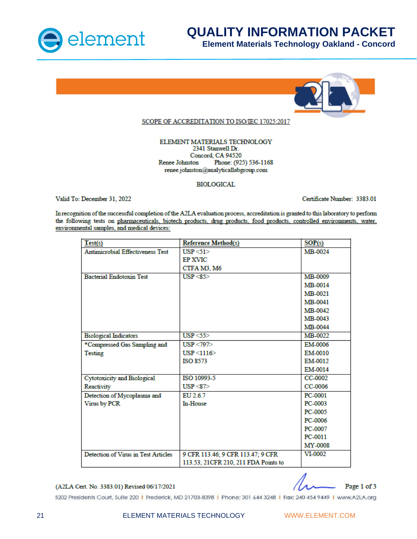

**Element Materials Technology Oakland - Concord**



#### SCOPE OF ACCREDITATION TO ISO/IEC 17025:2017

#### ELEMENT MATERIALS TECHNOLOGY 2341 Stanwell Dr Concord, CA 94520 Renee Johnston Phone: (925) 536-1168 renee.johnston@analyticallabgroup.com

**BIOLOGICAL** 

Valid To: December 31, 2022

Certificate Number: 3383.01

In recognition of the successful completion of the A2LA evaluation process, accreditation is granted to this laboratory to perform the following tests on pharmaceuticals, biotech products, drug products, food products, controlled environments, water, environmental samples, and medical devices:

| Test(s)                             | <b>Reference Method(s)</b>           | SOP(s)         |
|-------------------------------------|--------------------------------------|----------------|
| Antimicrobial Effectiveness Test    | USP < 51                             | MB-0024        |
|                                     | <b>EP XVIC</b>                       |                |
|                                     | CTFA M3, M6                          |                |
| <b>Bacterial Endotoxin Test</b>     | USP < 85                             | MB-0009        |
|                                     |                                      | MB-0014        |
|                                     |                                      | MB-0021        |
|                                     |                                      | MB-0041        |
|                                     |                                      | MB-0042        |
|                                     |                                      | MB-0043        |
|                                     |                                      | MB-0044        |
| <b>Biological Indicators</b>        | $USP \leq 5$                         | MB-0022        |
| *Compressed Gas Sampling and        | USP < 797                            | EM-0006        |
| Testing                             | $USP \le 1116$                       | EM-0010        |
|                                     | <b>ISO 8573</b>                      | EM-0012        |
|                                     |                                      | EM-0014        |
| <b>Cytotoxicity and Biological</b>  | ISO 10993-5                          | CC-0002        |
| Reactivity                          | USP < 87                             | CC-0006        |
| Detection of Mycoplasma and         | EU 267                               | PC-0001        |
| Virus by PCR                        | In-House                             | PC-0003        |
|                                     |                                      | PC-0005        |
|                                     |                                      | PC-0006        |
|                                     |                                      | PC-0007        |
|                                     |                                      | PC-0011        |
|                                     |                                      | <b>MY-0008</b> |
| Detection of Virus in Test Articles | 9 CFR 113.46; 9 CFR 113.47; 9 CFR    | VI-0002        |
|                                     | 113.53; 21CFR 210, 211 FDA Points to |                |

(A2LA Cert. No. 3383.01) Revised 06/17/2021

Page 1 of 3

5202 Presidents Court, Suite 220 | Frederick, MD 21703-8398 | Phone: 301 644 3248 | Fax: 240 454 9449 | www.A2LA.org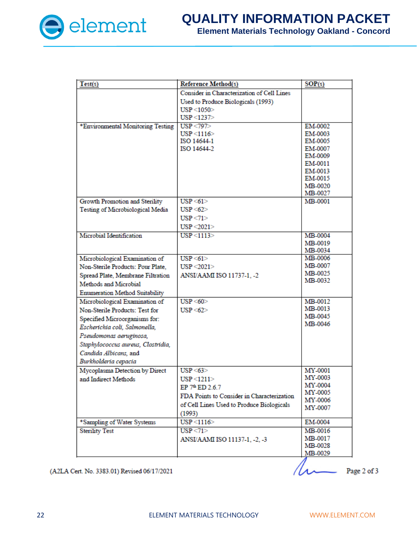

| Test(s)                               | <b>Reference Method(s)</b>                 | SOP(s)             |
|---------------------------------------|--------------------------------------------|--------------------|
|                                       | Consider in Characterization of Cell Lines |                    |
|                                       | Used to Produce Biologicals (1993)         |                    |
|                                       | USP < 1050                                 |                    |
|                                       | USP < 1237                                 |                    |
| *Environmental Monitoring Testing     | $USP \le 797$                              | EM-0002            |
|                                       | $USP \le 1116$                             | EM-0003            |
|                                       | ISO 14644-1                                | EM-0005            |
|                                       | ISO 14644-2                                | EM-0007            |
|                                       |                                            | EM-0009            |
|                                       |                                            | EM-0011<br>EM-0013 |
|                                       |                                            | EM-0015            |
|                                       |                                            | MB-0020            |
|                                       |                                            | MB-0027            |
| Growth Promotion and Sterility        | $USP \le 61$                               | MB-0001            |
| Testing of Microbiological Media      | $USP \le 62$                               |                    |
|                                       | $USP \le 71$                               |                    |
|                                       | USP < 2021                                 |                    |
| Microbial Identification              | $USP \le 1113$                             | MB-0004            |
|                                       |                                            | MB-0019            |
|                                       |                                            | MB-0034            |
| Microbiological Examination of        | $USP \le 61$                               | MB-0006            |
| Non-Sterile Products: Pour Plate,     | USP < 2021                                 | MB-0007            |
| Spread Plate, Membrane Filtration     | ANSI/AAMI ISO 11737-1, -2                  | MB-0025<br>MB-0032 |
| Methods and Microbial                 |                                            |                    |
| <b>Enumeration Method Suitability</b> |                                            |                    |
| Microbiological Examination of        | $USP \le 60$                               | MB-0012            |
| Non-Sterile Products: Test for        | $USP \le 62$                               | MB-0013            |
| Specified Microorganisms for:         |                                            | MB-0045            |
| Escherichia coli, Salmonella,         |                                            | MB-0046            |
| Pseudomonas aeruginosa,               |                                            |                    |
| Staphylococcus aureus, Clostridia,    |                                            |                    |
| Candida Albicans, and                 |                                            |                    |
| Burkholderia cepacia                  |                                            |                    |
| Mycoplasma Detection by Direct        | $USP \le 63$                               | MY-0001            |
| and Indirect Methods                  | $USP \le 1211$                             | <b>MY-0003</b>     |
|                                       | EP 7 <sup>th</sup> ED 2.6.7                | MY-0004            |
|                                       | FDA Points to Consider in Characterization | MY-0005            |
|                                       | of Cell Lines Used to Produce Biologicals  | MY-0006            |
|                                       | (1993)                                     | MY-0007            |
| *Sampling of Water Systems            | $USP \le 1116$                             | EM-0004            |
| <b>Sterility Test</b>                 | $USP \le 71$                               | MB-0016            |
|                                       | ANSI/AAMI ISO 11137-1, -2, -3              | MB-0017            |
|                                       |                                            | MB-0028            |
|                                       |                                            | MB-0029            |

(A2LA Cert. No. 3383.01) Revised 06/17/2021

 $\mu$  Page 2 of 3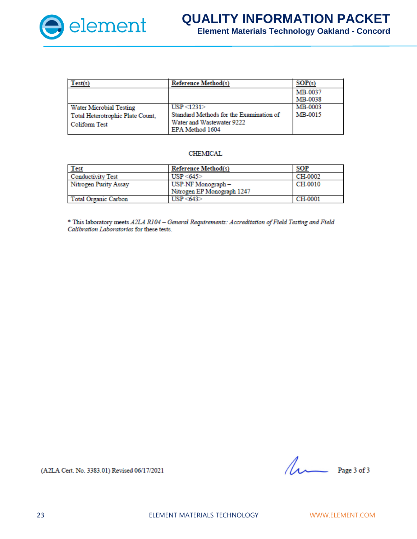

| Test(s)                          | <b>Reference Method(s)</b>              | SOP(s)  |
|----------------------------------|-----------------------------------------|---------|
|                                  |                                         | MB-0037 |
|                                  |                                         | MB-0038 |
| <b>Water Microbial Testing</b>   | $USP \le 1231$                          | MB-0003 |
| Total Heterotrophic Plate Count, | Standard Methods for the Examination of | MB-0015 |
| Coliform Test                    | Water and Wastewater 9222               |         |
|                                  | EPA Method 1604                         |         |

#### **CHEMICAL**

| <b>Test</b>              | <b>Reference Method(s)</b> | <b>SOP</b> |
|--------------------------|----------------------------|------------|
| <b>Conductivity Test</b> | $USP \le 645$              | CH-0002    |
| Nitrogen Purity Assay    | USP-NF Monograph-          | CH-0010    |
|                          | Nitrogen EP Monograph 1247 |            |
| Total Organic Carbon     | $USP \le 643$              | CH-0001    |

\* This laboratory meets A2LA R104 - General Requirements: Accreditation of Field Testing and Field Calibration Laboratories for these tests.

 $\mu$  Page 3 of 3

(A2LA Cert. No. 3383.01) Revised 06/17/2021